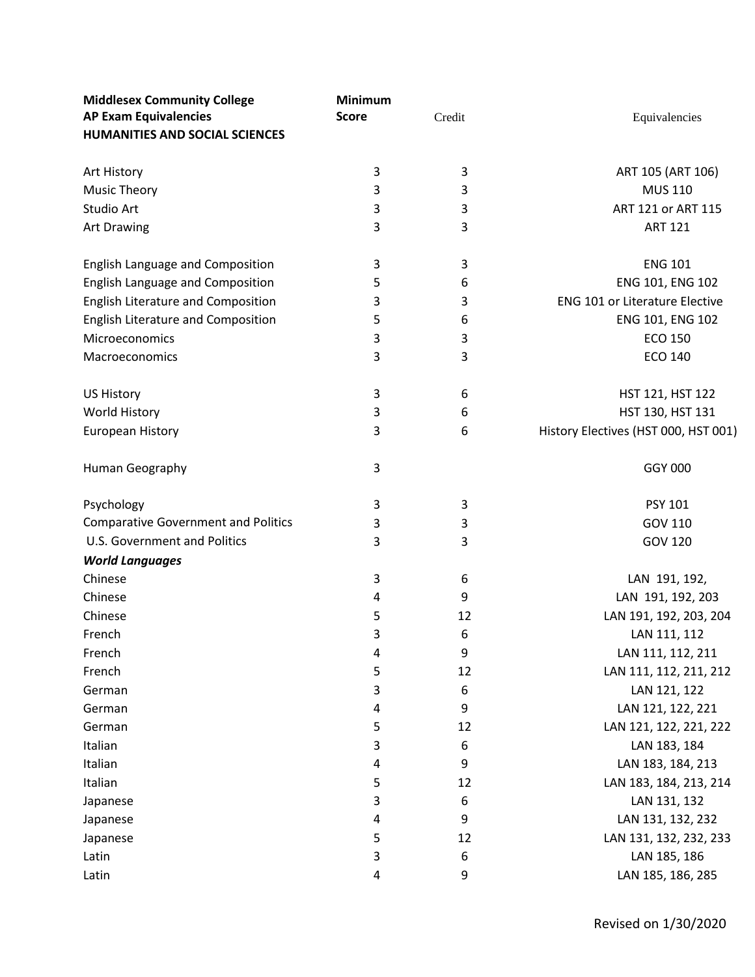| <b>Middlesex Community College</b>         | Minimum      |        |                                       |
|--------------------------------------------|--------------|--------|---------------------------------------|
| <b>AP Exam Equivalencies</b>               | <b>Score</b> | Credit | Equivalencies                         |
| <b>HUMANITIES AND SOCIAL SCIENCES</b>      |              |        |                                       |
|                                            |              |        |                                       |
| Art History                                | 3            | 3      | ART 105 (ART 106)                     |
| <b>Music Theory</b>                        | 3            | 3      | <b>MUS 110</b>                        |
| Studio Art                                 | 3            | 3      | ART 121 or ART 115                    |
| Art Drawing                                | 3            | 3      | <b>ART 121</b>                        |
|                                            |              |        |                                       |
| English Language and Composition           | 3            | 3      | <b>ENG 101</b>                        |
| English Language and Composition           | 5            | 6      | ENG 101, ENG 102                      |
| English Literature and Composition         | 3            | 3      | <b>ENG 101 or Literature Elective</b> |
| English Literature and Composition         | 5            | 6      | ENG 101, ENG 102                      |
| Microeconomics                             | 3            | 3      | <b>ECO 150</b>                        |
| Macroeconomics                             | 3            | 3      | <b>ECO 140</b>                        |
|                                            |              |        |                                       |
| <b>US History</b>                          | 3            | 6      | HST 121, HST 122                      |
| World History                              | 3            | 6      | HST 130, HST 131                      |
| <b>European History</b>                    | 3            | 6      | History Electives (HST 000, HST 001)  |
|                                            |              |        |                                       |
| Human Geography                            | 3            |        | <b>GGY 000</b>                        |
|                                            |              |        |                                       |
| Psychology                                 | 3            | 3      | PSY 101                               |
| <b>Comparative Government and Politics</b> | 3            | 3      | GOV 110                               |
| U.S. Government and Politics               | 3            | 3      | GOV 120                               |
| <b>World Languages</b>                     |              |        |                                       |
| Chinese                                    | 3            | 6      | LAN 191, 192,                         |
| Chinese                                    | 4            | 9      | LAN 191, 192, 203                     |
| Chinese                                    | 5            | 12     | LAN 191, 192, 203, 204                |
| French                                     | 3            | 6      | LAN 111, 112                          |
| French                                     | 4            | 9      | LAN 111, 112, 211                     |
| French                                     | 5            | 12     | LAN 111, 112, 211, 212                |
| German                                     | 3            | 6      | LAN 121, 122                          |
| German                                     | 4            | 9      | LAN 121, 122, 221                     |
| German                                     | 5            | 12     | LAN 121, 122, 221, 222                |
| Italian                                    | 3            | 6      | LAN 183, 184                          |
| Italian                                    | 4            | 9      | LAN 183, 184, 213                     |
| Italian                                    | 5            | 12     | LAN 183, 184, 213, 214                |
| Japanese                                   | 3            | 6      | LAN 131, 132                          |
| Japanese                                   | 4            | 9      | LAN 131, 132, 232                     |
| Japanese                                   | 5            | 12     | LAN 131, 132, 232, 233                |
| Latin                                      | 3            | 6      | LAN 185, 186                          |
| Latin                                      | 4            | 9      | LAN 185, 186, 285                     |